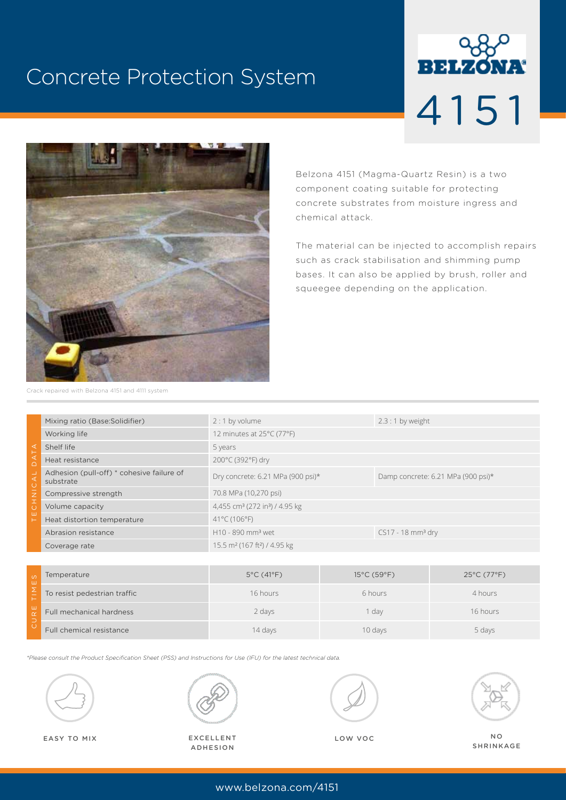# Concrete Protection System





Belzona 4151 (Magma-Quartz Resin) is a two component coating suitable for protecting concrete substrates from moisture ingress and chemical attack.

The material can be injected to accomplish repairs such as crack stabilisation and shimming pump bases. It can also be applied by brush, roller and squeegee depending on the application.

Crack repaired with Belzona 4151 and 4111 system

| Mixing ratio (Base: Solidifier)                        | $2:1$ by volume                                        | $2.3:1$ by weight                  |
|--------------------------------------------------------|--------------------------------------------------------|------------------------------------|
| Working life                                           | 12 minutes at 25°C (77°F)                              |                                    |
| Shelf life                                             | 5 years                                                |                                    |
| Heat resistance                                        | 200°C (392°F) dry                                      |                                    |
| Adhesion (pull-off) * cohesive failure of<br>substrate | Dry concrete: 6.21 MPa (900 psi)*                      | Damp concrete: 6.21 MPa (900 psi)* |
| Compressive strength                                   | 70.8 MPa (10,270 psi)                                  |                                    |
| Volume capacity                                        | 4,455 cm <sup>3</sup> (272 in <sup>3</sup> ) / 4.95 kg |                                    |
| Heat distortion temperature                            | 41°C (106°F)                                           |                                    |
| Abrasion resistance                                    | H10 - 890 mm <sup>3</sup> wet                          | $CS17 - 18$ mm <sup>3</sup> dry    |
| Coverage rate                                          | 15.5 m <sup>2</sup> (167 ft <sup>2</sup> ) / 4.95 kg   |                                    |
|                                                        |                                                        |                                    |

| $\omega$<br>ш | Temperature                  | $5^{\circ}$ C (41 $^{\circ}$ F) | $15^{\circ}$ C (59 $^{\circ}$ F) | $25^{\circ}$ C (77 $^{\circ}$ F) |
|---------------|------------------------------|---------------------------------|----------------------------------|----------------------------------|
|               | To resist pedestrian traffic | 16 hours                        | 6 hours                          | 4 hours                          |
| ш             | Full mechanical hardness     | 2 days                          | day                              | 16 hours                         |
|               | Full chemical resistance     | 14 days                         | 10 days                          | 5 days                           |

*\*Please consult the Product Specification Sheet (PSS) and Instructions for Use (IFU) for the latest technical data.*





EASY TO MIX **EXCELLENT** EXCELLENT **LOW VOC** EXCELLENT ADHESION



NO SHRINKAGE